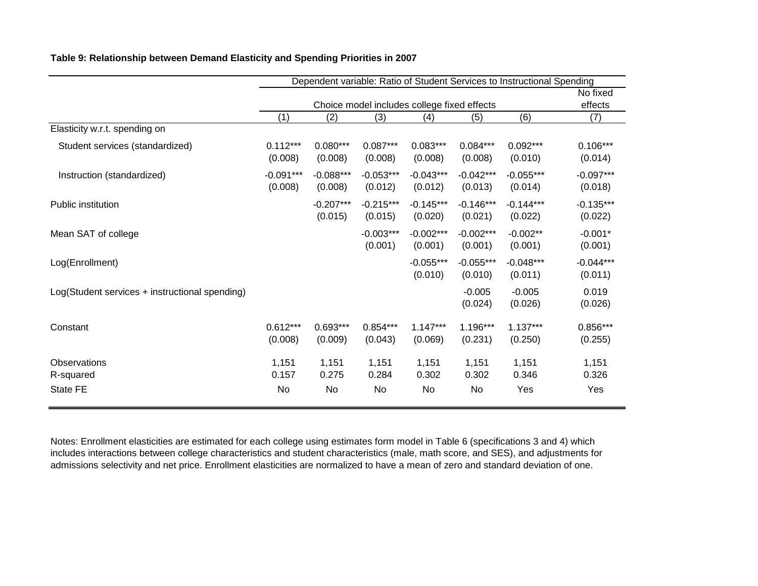|                                                |                        |                        |                        |                                             |                        | Dependent variable: Ratio of Student Services to Instructional Spending |                        |
|------------------------------------------------|------------------------|------------------------|------------------------|---------------------------------------------|------------------------|-------------------------------------------------------------------------|------------------------|
|                                                |                        |                        |                        | Choice model includes college fixed effects |                        |                                                                         | No fixed<br>effects    |
|                                                | (1)                    | (2)                    | (3)                    | (4)                                         | (5)                    | (6)                                                                     | (7)                    |
| Elasticity w.r.t. spending on                  |                        |                        |                        |                                             |                        |                                                                         |                        |
| Student services (standardized)                | $0.112***$<br>(0.008)  | $0.080***$<br>(0.008)  | $0.087***$<br>(0.008)  | $0.083***$<br>(0.008)                       | $0.084***$<br>(0.008)  | $0.092***$<br>(0.010)                                                   | $0.106***$<br>(0.014)  |
| Instruction (standardized)                     | $-0.091***$<br>(0.008) | $-0.088***$<br>(0.008) | $-0.053***$<br>(0.012) | $-0.043***$<br>(0.012)                      | $-0.042***$<br>(0.013) | $-0.055***$<br>(0.014)                                                  | $-0.097***$<br>(0.018) |
| Public institution                             |                        | $-0.207***$<br>(0.015) | $-0.215***$<br>(0.015) | $-0.145***$<br>(0.020)                      | $-0.146***$<br>(0.021) | $-0.144***$<br>(0.022)                                                  | $-0.135***$<br>(0.022) |
| Mean SAT of college                            |                        |                        | $-0.003***$<br>(0.001) | $-0.002***$<br>(0.001)                      | $-0.002***$<br>(0.001) | $-0.002**$<br>(0.001)                                                   | $-0.001*$<br>(0.001)   |
| Log(Enrollment)                                |                        |                        |                        | $-0.055***$<br>(0.010)                      | $-0.055***$<br>(0.010) | $-0.048***$<br>(0.011)                                                  | $-0.044***$<br>(0.011) |
| Log(Student services + instructional spending) |                        |                        |                        |                                             | $-0.005$<br>(0.024)    | $-0.005$<br>(0.026)                                                     | 0.019<br>(0.026)       |
| Constant                                       | $0.612***$<br>(0.008)  | $0.693***$<br>(0.009)  | $0.854***$<br>(0.043)  | $1.147***$<br>(0.069)                       | 1.196***<br>(0.231)    | $1.137***$<br>(0.250)                                                   | $0.856***$<br>(0.255)  |
| Observations<br>R-squared                      | 1,151<br>0.157         | 1,151<br>0.275         | 1,151<br>0.284         | 1,151<br>0.302                              | 1,151<br>0.302         | 1,151<br>0.346                                                          | 1,151<br>0.326         |
| <b>State FE</b>                                | No                     | No                     | No                     | No                                          | No                     | Yes                                                                     | Yes                    |

#### **Table 9: Relationship between Demand Elasticity and Spending Priorities in 2007**

Notes: Enrollment elasticities are estimated for each college using estimates form model in Table 6 (specifications 3 and 4) which includes interactions between college characteristics and student characteristics (male, math score, and SES), and adjustments for admissions selectivity and net price. Enrollment elasticities are normalized to have a mean of zero and standard deviation of one.